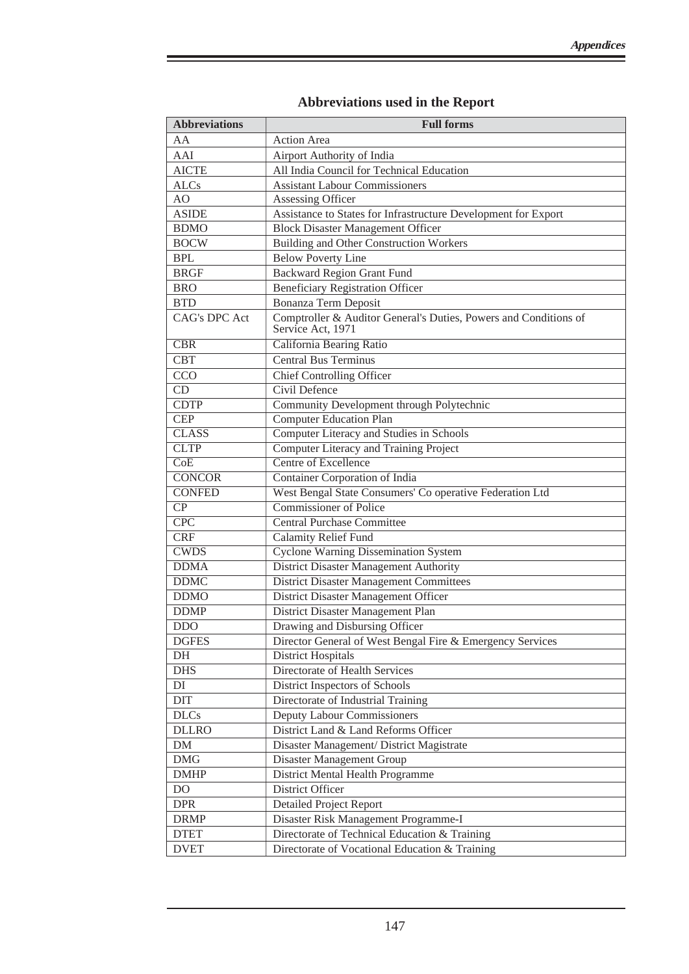| <b>Abbreviations</b>    | <b>Full forms</b>                                                                     |
|-------------------------|---------------------------------------------------------------------------------------|
| AA                      | <b>Action Area</b>                                                                    |
| AAI                     | Airport Authority of India                                                            |
| <b>AICTE</b>            | All India Council for Technical Education                                             |
| <b>ALCs</b>             | <b>Assistant Labour Commissioners</b>                                                 |
| AO                      | Assessing Officer                                                                     |
| <b>ASIDE</b>            | Assistance to States for Infrastructure Development for Export                        |
| <b>BDMO</b>             | <b>Block Disaster Management Officer</b>                                              |
| <b>BOCW</b>             | <b>Building and Other Construction Workers</b>                                        |
| <b>BPL</b>              | <b>Below Poverty Line</b>                                                             |
| <b>BRGF</b>             | <b>Backward Region Grant Fund</b>                                                     |
| <b>BRO</b>              | <b>Beneficiary Registration Officer</b>                                               |
| <b>BTD</b>              | <b>Bonanza Term Deposit</b>                                                           |
| <b>CAG's DPC Act</b>    | Comptroller & Auditor General's Duties, Powers and Conditions of<br>Service Act, 1971 |
| $\overline{\text{CBR}}$ | California Bearing Ratio                                                              |
| <b>CBT</b>              | <b>Central Bus Terminus</b>                                                           |
| CCO                     | <b>Chief Controlling Officer</b>                                                      |
| CD                      | Civil Defence                                                                         |
| <b>CDTP</b>             | Community Development through Polytechnic                                             |
| <b>CEP</b>              | <b>Computer Education Plan</b>                                                        |
| <b>CLASS</b>            | Computer Literacy and Studies in Schools                                              |
| <b>CLTP</b>             | <b>Computer Literacy and Training Project</b>                                         |
| $\overline{\text{CoE}}$ | <b>Centre of Excellence</b>                                                           |
| <b>CONCOR</b>           | <b>Container Corporation of India</b>                                                 |
| <b>CONFED</b>           | West Bengal State Consumers' Co operative Federation Ltd                              |
| $\overline{CP}$         | <b>Commissioner of Police</b>                                                         |
| CPC                     | <b>Central Purchase Committee</b>                                                     |
| CRF                     | <b>Calamity Relief Fund</b>                                                           |
| <b>CWDS</b>             | <b>Cyclone Warning Dissemination System</b>                                           |
| <b>DDMA</b>             | <b>District Disaster Management Authority</b>                                         |
| <b>DDMC</b>             | <b>District Disaster Management Committees</b>                                        |
| <b>DDMO</b>             | District Disaster Management Officer                                                  |
| <b>DDMP</b>             | District Disaster Management Plan                                                     |
| <b>DDO</b>              | Drawing and Disbursing Officer                                                        |
| <b>DGFES</b>            | Director General of West Bengal Fire & Emergency Services                             |
| DH                      | <b>District Hospitals</b>                                                             |
| <b>DHS</b>              | <b>Directorate of Health Services</b>                                                 |
| $\mathop{\rm DI}$       | District Inspectors of Schools                                                        |
| $_{\rm DIT}$            | Directorate of Industrial Training                                                    |
| <b>DLCs</b>             | Deputy Labour Commissioners                                                           |
| <b>DLLRO</b>            | District Land & Land Reforms Officer                                                  |
| ${\rm DM}$              | Disaster Management/ District Magistrate                                              |
| <b>DMG</b>              | Disaster Management Group                                                             |
| <b>DMHP</b>             | District Mental Health Programme                                                      |
| DO                      | District Officer                                                                      |
| <b>DPR</b>              | <b>Detailed Project Report</b>                                                        |
| <b>DRMP</b>             | Disaster Risk Management Programme-I                                                  |
| <b>DTET</b>             | Directorate of Technical Education & Training                                         |
| <b>DVET</b>             | Directorate of Vocational Education & Training                                        |

## **Abbreviations used in the Report**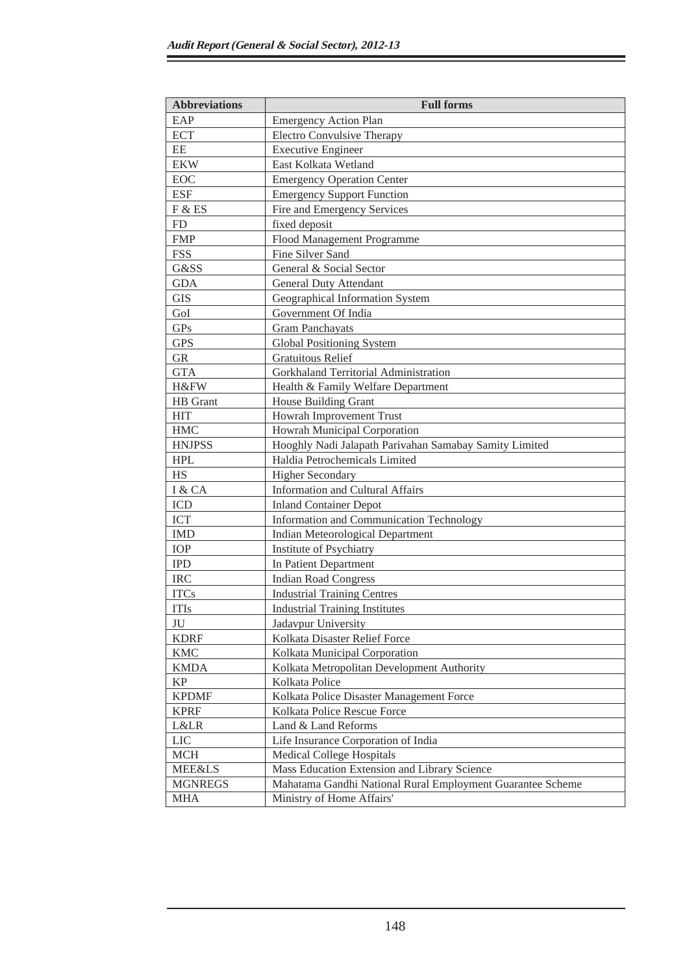S

| <b>Abbreviations</b> | <b>Full forms</b>                                          |
|----------------------|------------------------------------------------------------|
| EAP                  | <b>Emergency Action Plan</b>                               |
| <b>ECT</b>           | <b>Electro Convulsive Therapy</b>                          |
| EE                   | <b>Executive Engineer</b>                                  |
| <b>EKW</b>           | East Kolkata Wetland                                       |
| <b>EOC</b>           | <b>Emergency Operation Center</b>                          |
| <b>ESF</b>           | <b>Emergency Support Function</b>                          |
| F & ES               | Fire and Emergency Services                                |
| FD                   | fixed deposit                                              |
| <b>FMP</b>           | Flood Management Programme                                 |
| <b>FSS</b>           | Fine Silver Sand                                           |
| G&SS                 | General & Social Sector                                    |
| <b>GDA</b>           | <b>General Duty Attendant</b>                              |
| <b>GIS</b>           | Geographical Information System                            |
| GoI                  | Government Of India                                        |
| GPs                  | <b>Gram Panchayats</b>                                     |
| <b>GPS</b>           | <b>Global Positioning System</b>                           |
| <b>GR</b>            | <b>Gratuitous Relief</b>                                   |
| <b>GTA</b>           | Gorkhaland Territorial Administration                      |
| H&FW                 | Health & Family Welfare Department                         |
| HB Grant             | House Building Grant                                       |
| <b>HIT</b>           | Howrah Improvement Trust                                   |
| <b>HMC</b>           | Howrah Municipal Corporation                               |
| <b>HNJPSS</b>        | Hooghly Nadi Jalapath Parivahan Samabay Samity Limited     |
| <b>HPL</b>           | Haldia Petrochemicals Limited                              |
| <b>HS</b>            | <b>Higher Secondary</b>                                    |
| I & CA               | <b>Information and Cultural Affairs</b>                    |
| <b>ICD</b>           | <b>Inland Container Depot</b>                              |
| <b>ICT</b>           | Information and Communication Technology                   |
| <b>IMD</b>           | <b>Indian Meteorological Department</b>                    |
| IOP                  | Institute of Psychiatry                                    |
| <b>IPD</b>           | In Patient Department                                      |
| <b>IRC</b>           | <b>Indian Road Congress</b>                                |
| <b>ITCs</b>          | <b>Industrial Training Centres</b>                         |
| <b>ITIs</b>          | <b>Industrial Training Institutes</b>                      |
| JU                   | Jadavpur University                                        |
| <b>KDRF</b>          | Kolkata Disaster Relief Force                              |
| <b>KMC</b>           | Kolkata Municipal Corporation                              |
| <b>KMDA</b>          | Kolkata Metropolitan Development Authority                 |
| KP                   | Kolkata Police                                             |
| <b>KPDMF</b>         | Kolkata Police Disaster Management Force                   |
| <b>KPRF</b>          | Kolkata Police Rescue Force                                |
| <b>L&amp;LR</b>      | Land & Land Reforms                                        |
| <b>LIC</b>           | Life Insurance Corporation of India                        |
| <b>MCH</b>           | <b>Medical College Hospitals</b>                           |
| <b>MEE&amp;LS</b>    | Mass Education Extension and Library Science               |
| <b>MGNREGS</b>       | Mahatama Gandhi National Rural Employment Guarantee Scheme |
| <b>MHA</b>           | Ministry of Home Affairs'                                  |

Ξ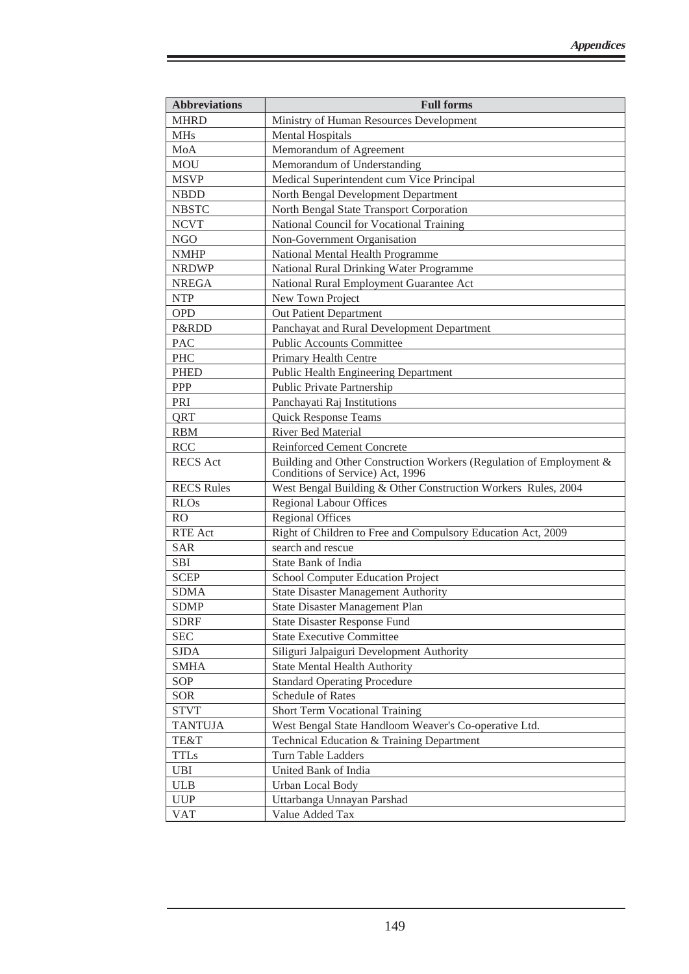| <b>Abbreviations</b> | <b>Full forms</b>                                                                                       |
|----------------------|---------------------------------------------------------------------------------------------------------|
| <b>MHRD</b>          | Ministry of Human Resources Development                                                                 |
| <b>MHs</b>           | <b>Mental Hospitals</b>                                                                                 |
| MoA                  | Memorandum of Agreement                                                                                 |
| <b>MOU</b>           | Memorandum of Understanding                                                                             |
| <b>MSVP</b>          | Medical Superintendent cum Vice Principal                                                               |
| <b>NBDD</b>          | North Bengal Development Department                                                                     |
| <b>NBSTC</b>         | North Bengal State Transport Corporation                                                                |
| <b>NCVT</b>          | National Council for Vocational Training                                                                |
| <b>NGO</b>           | Non-Government Organisation                                                                             |
| <b>NMHP</b>          | National Mental Health Programme                                                                        |
| <b>NRDWP</b>         | National Rural Drinking Water Programme                                                                 |
| <b>NREGA</b>         | National Rural Employment Guarantee Act                                                                 |
| <b>NTP</b>           | New Town Project                                                                                        |
| <b>OPD</b>           | Out Patient Department                                                                                  |
| P&RDD                | Panchayat and Rural Development Department                                                              |
| <b>PAC</b>           | <b>Public Accounts Committee</b>                                                                        |
| <b>PHC</b>           | Primary Health Centre                                                                                   |
| <b>PHED</b>          | <b>Public Health Engineering Department</b>                                                             |
| <b>PPP</b>           | Public Private Partnership                                                                              |
| PRI                  | Panchayati Raj Institutions                                                                             |
| QRT                  | <b>Quick Response Teams</b>                                                                             |
| <b>RBM</b>           | River Bed Material                                                                                      |
| <b>RCC</b>           | <b>Reinforced Cement Concrete</b>                                                                       |
| <b>RECS</b> Act      | Building and Other Construction Workers (Regulation of Employment &<br>Conditions of Service) Act, 1996 |
| <b>RECS Rules</b>    | West Bengal Building & Other Construction Workers Rules, 2004                                           |
| <b>RLOs</b>          | <b>Regional Labour Offices</b>                                                                          |
| <b>RO</b>            | <b>Regional Offices</b>                                                                                 |
| <b>RTE</b> Act       | Right of Children to Free and Compulsory Education Act, 2009                                            |
| <b>SAR</b>           | search and rescue                                                                                       |
| <b>SBI</b>           | State Bank of India                                                                                     |
| <b>SCEP</b>          | School Computer Education Project                                                                       |
| <b>SDMA</b>          | <b>State Disaster Management Authority</b>                                                              |
| <b>SDMP</b>          | <b>State Disaster Management Plan</b>                                                                   |
| <b>SDRF</b>          | <b>State Disaster Response Fund</b>                                                                     |
| <b>SEC</b>           | <b>State Executive Committee</b>                                                                        |
| <b>SJDA</b>          | Siliguri Jalpaiguri Development Authority                                                               |
| <b>SMHA</b>          | <b>State Mental Health Authority</b>                                                                    |
| SOP                  | <b>Standard Operating Procedure</b>                                                                     |
| <b>SOR</b>           | Schedule of Rates                                                                                       |
| <b>STVT</b>          | Short Term Vocational Training                                                                          |
| <b>TANTUJA</b>       | West Bengal State Handloom Weaver's Co-operative Ltd.                                                   |
| TE&T                 | Technical Education & Training Department                                                               |
| <b>TTLs</b>          | <b>Turn Table Ladders</b>                                                                               |
| <b>UBI</b>           | United Bank of India                                                                                    |
| <b>ULB</b>           | <b>Urban Local Body</b>                                                                                 |
| <b>UUP</b>           | Uttarbanga Unnayan Parshad                                                                              |
| <b>VAT</b>           | Value Added Tax                                                                                         |